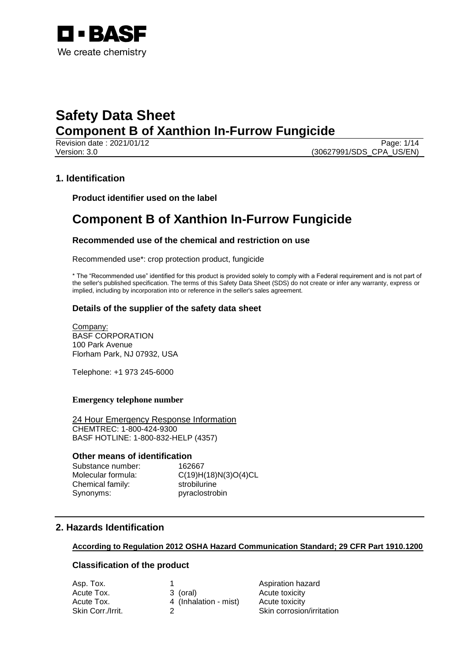

Revision date : 2021/01/12 Page: 1/14 Version: 3.0 (30627991/SDS\_CPA\_US/EN)

## **1. Identification**

**Product identifier used on the label**

## **Component B of Xanthion In-Furrow Fungicide**

## **Recommended use of the chemical and restriction on use**

Recommended use\*: crop protection product, fungicide

\* The "Recommended use" identified for this product is provided solely to comply with a Federal requirement and is not part of the seller's published specification. The terms of this Safety Data Sheet (SDS) do not create or infer any warranty, express or implied, including by incorporation into or reference in the seller's sales agreement.

## **Details of the supplier of the safety data sheet**

Company: BASF CORPORATION 100 Park Avenue Florham Park, NJ 07932, USA

Telephone: +1 973 245-6000

## **Emergency telephone number**

24 Hour Emergency Response Information CHEMTREC: 1-800-424-9300 BASF HOTLINE: 1-800-832-HELP (4357)

### **Other means of identification**

Substance number: 162667 Molecular formula: C(19)H(18)N(3)O(4)CL Chemical family: strobilurine Synonyms: pyraclostrobin

## **2. Hazards Identification**

### **According to Regulation 2012 OSHA Hazard Communication Standard; 29 CFR Part 1910.1200**

## **Classification of the product**

|                       | Aspiration hazard         |
|-----------------------|---------------------------|
| 3 (oral)              | Acute toxicity            |
| 4 (Inhalation - mist) | Acute toxicity            |
|                       | Skin corrosion/irritation |
|                       |                           |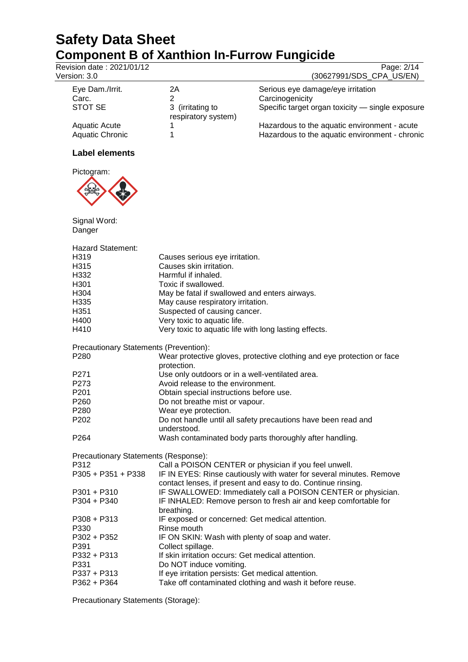Revision date : 2021/01/12 Page: 2/14<br>Version: 3.0 (30627991/SDS\_CPA\_US/EN) (30627991/SDS\_CPA\_US/EN)

| Eye Dam./Irrit.        | 2Α                                      | Serious eye damage/eye irritation                |
|------------------------|-----------------------------------------|--------------------------------------------------|
| Carc.                  |                                         | Carcinogenicity                                  |
| STOT SE                | 3 (irritating to<br>respiratory system) | Specific target organ toxicity - single exposure |
| Aquatic Acute          |                                         | Hazardous to the aquatic environment - acute     |
| <b>Aquatic Chronic</b> |                                         | Hazardous to the aquatic environment - chronic   |

## **Label elements**



Signal Word: Danger

| Danger                                 |                                                                                                                                     |
|----------------------------------------|-------------------------------------------------------------------------------------------------------------------------------------|
| <b>Hazard Statement:</b>               |                                                                                                                                     |
| H <sub>3</sub> 19                      | Causes serious eye irritation.                                                                                                      |
| H315                                   | Causes skin irritation.                                                                                                             |
| H332                                   | Harmful if inhaled.                                                                                                                 |
| H301                                   | Toxic if swallowed.                                                                                                                 |
| H304                                   | May be fatal if swallowed and enters airways.                                                                                       |
| H335                                   | May cause respiratory irritation.                                                                                                   |
| H351                                   | Suspected of causing cancer.                                                                                                        |
| H400                                   | Very toxic to aquatic life.                                                                                                         |
| H410                                   | Very toxic to aquatic life with long lasting effects.                                                                               |
| Precautionary Statements (Prevention): |                                                                                                                                     |
| P <sub>280</sub>                       | Wear protective gloves, protective clothing and eye protection or face<br>protection.                                               |
| P <sub>271</sub>                       | Use only outdoors or in a well-ventilated area.                                                                                     |
| P273                                   | Avoid release to the environment.                                                                                                   |
| P201                                   | Obtain special instructions before use.                                                                                             |
| P <sub>260</sub>                       | Do not breathe mist or vapour.                                                                                                      |
| P280                                   | Wear eye protection.                                                                                                                |
| P <sub>202</sub>                       | Do not handle until all safety precautions have been read and<br>understood.                                                        |
| P264                                   | Wash contaminated body parts thoroughly after handling.                                                                             |
| Precautionary Statements (Response):   |                                                                                                                                     |
| P312                                   | Call a POISON CENTER or physician if you feel unwell.                                                                               |
| P305 + P351 + P338                     | IF IN EYES: Rinse cautiously with water for several minutes. Remove<br>contact lenses, if present and easy to do. Continue rinsing. |
| $P301 + P310$                          | IF SWALLOWED: Immediately call a POISON CENTER or physician.                                                                        |
| $P304 + P340$                          | IF INHALED: Remove person to fresh air and keep comfortable for<br>breathing.                                                       |
| $P308 + P313$                          | IF exposed or concerned: Get medical attention.                                                                                     |
| P330                                   | Rinse mouth                                                                                                                         |
| P302 + P352                            | IF ON SKIN: Wash with plenty of soap and water.                                                                                     |
| P391                                   | Collect spillage.                                                                                                                   |
| P332 + P313                            | If skin irritation occurs: Get medical attention.                                                                                   |
| P331                                   | Do NOT induce vomiting.                                                                                                             |
| $P337 + P313$                          | If eye irritation persists: Get medical attention.                                                                                  |
| P362 + P364                            | Take off contaminated clothing and wash it before reuse.                                                                            |

Precautionary Statements (Storage):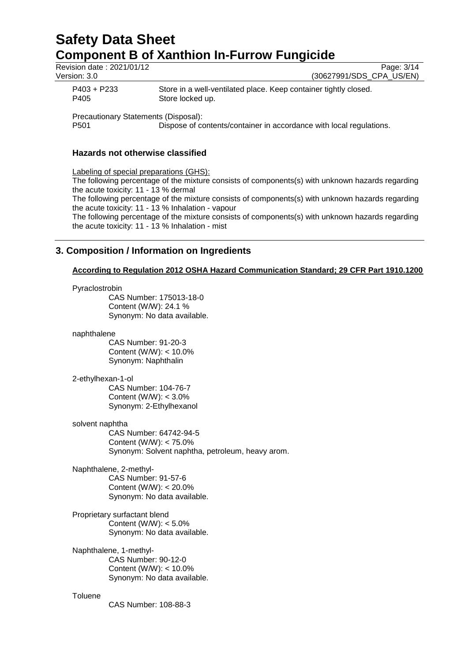# **Safety Data Sheet Component B of Xanthion In-Furrow Fungicide**<br>Revision date: 2021/01/12

| Revision date: 2021/01/12                    | Page: 3/14                                                          |
|----------------------------------------------|---------------------------------------------------------------------|
| Version: 3.0                                 | (30627991/SDS_CPA_US/EN)                                            |
| $P403 + P233$                                | Store in a well-ventilated place. Keep container tightly closed.    |
| P405                                         | Store locked up.                                                    |
| Precautionary Statements (Disposal):<br>P501 | Dispose of contents/container in accordance with local regulations. |

## **Hazards not otherwise classified**

Labeling of special preparations (GHS): The following percentage of the mixture consists of components(s) with unknown hazards regarding the acute toxicity: 11 - 13 % dermal The following percentage of the mixture consists of components(s) with unknown hazards regarding the acute toxicity: 11 - 13 % Inhalation - vapour The following percentage of the mixture consists of components(s) with unknown hazards regarding the acute toxicity: 11 - 13 % Inhalation - mist

## **3. Composition / Information on Ingredients**

## **According to Regulation 2012 OSHA Hazard Communication Standard; 29 CFR Part 1910.1200**

Pyraclostrobin

CAS Number: 175013-18-0 Content (W/W): 24.1 % Synonym: No data available.

naphthalene

CAS Number: 91-20-3 Content (W/W): < 10.0% Synonym: Naphthalin

2-ethylhexan-1-ol

CAS Number: 104-76-7 Content (W/W): < 3.0% Synonym: 2-Ethylhexanol

solvent naphtha

CAS Number: 64742-94-5 Content (W/W): < 75.0% Synonym: Solvent naphtha, petroleum, heavy arom.

Naphthalene, 2-methyl-CAS Number: 91-57-6 Content (W/W): < 20.0% Synonym: No data available.

Proprietary surfactant blend Content (W/W): < 5.0% Synonym: No data available.

Naphthalene, 1-methyl-CAS Number: 90-12-0 Content (W/W): < 10.0% Synonym: No data available.

## **Toluene**

CAS Number: 108-88-3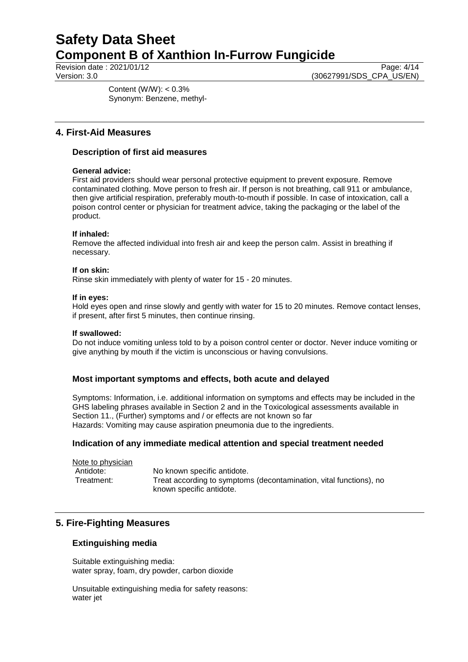Revision date : 2021/01/12 Page: 4/14<br>Version: 3.0 (30627991/SDS CPA US/EN) (30627991/SDS\_CPA\_US/EN)

> Content (W/W): < 0.3% Synonym: Benzene, methyl-

## **4. First-Aid Measures**

## **Description of first aid measures**

## **General advice:**

First aid providers should wear personal protective equipment to prevent exposure. Remove contaminated clothing. Move person to fresh air. If person is not breathing, call 911 or ambulance, then give artificial respiration, preferably mouth-to-mouth if possible. In case of intoxication, call a poison control center or physician for treatment advice, taking the packaging or the label of the product.

## **If inhaled:**

Remove the affected individual into fresh air and keep the person calm. Assist in breathing if necessary.

### **If on skin:**

Rinse skin immediately with plenty of water for 15 - 20 minutes.

## **If in eyes:**

Hold eyes open and rinse slowly and gently with water for 15 to 20 minutes. Remove contact lenses, if present, after first 5 minutes, then continue rinsing.

### **If swallowed:**

Do not induce vomiting unless told to by a poison control center or doctor. Never induce vomiting or give anything by mouth if the victim is unconscious or having convulsions.

## **Most important symptoms and effects, both acute and delayed**

Symptoms: Information, i.e. additional information on symptoms and effects may be included in the GHS labeling phrases available in Section 2 and in the Toxicological assessments available in Section 11., (Further) symptoms and / or effects are not known so far Hazards: Vomiting may cause aspiration pneumonia due to the ingredients.

## **Indication of any immediate medical attention and special treatment needed**

Note to physician Antidote: No known specific antidote. Treatment: Treat according to symptoms (decontamination, vital functions), no known specific antidote.

## **5. Fire-Fighting Measures**

## **Extinguishing media**

Suitable extinguishing media: water spray, foam, dry powder, carbon dioxide

Unsuitable extinguishing media for safety reasons: water jet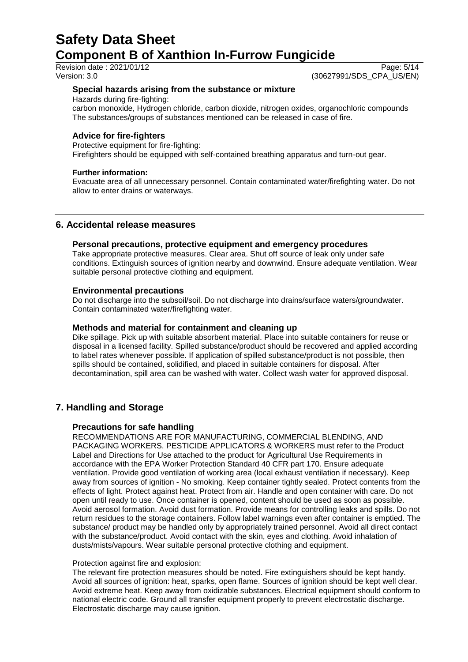Revision date : 2021/01/12 Page: 5/14<br>Version: 3.0 (30627991/SDS\_CPA\_US/EN) (30627991/SDS\_CPA\_US/EN)

## **Special hazards arising from the substance or mixture**

Hazards during fire-fighting:

carbon monoxide, Hydrogen chloride, carbon dioxide, nitrogen oxides, organochloric compounds The substances/groups of substances mentioned can be released in case of fire.

## **Advice for fire-fighters**

Protective equipment for fire-fighting: Firefighters should be equipped with self-contained breathing apparatus and turn-out gear.

## **Further information:**

Evacuate area of all unnecessary personnel. Contain contaminated water/firefighting water. Do not allow to enter drains or waterways.

## **6. Accidental release measures**

## **Personal precautions, protective equipment and emergency procedures**

Take appropriate protective measures. Clear area. Shut off source of leak only under safe conditions. Extinguish sources of ignition nearby and downwind. Ensure adequate ventilation. Wear suitable personal protective clothing and equipment.

## **Environmental precautions**

Do not discharge into the subsoil/soil. Do not discharge into drains/surface waters/groundwater. Contain contaminated water/firefighting water.

## **Methods and material for containment and cleaning up**

Dike spillage. Pick up with suitable absorbent material. Place into suitable containers for reuse or disposal in a licensed facility. Spilled substance/product should be recovered and applied according to label rates whenever possible. If application of spilled substance/product is not possible, then spills should be contained, solidified, and placed in suitable containers for disposal. After decontamination, spill area can be washed with water. Collect wash water for approved disposal.

## **7. Handling and Storage**

## **Precautions for safe handling**

RECOMMENDATIONS ARE FOR MANUFACTURING, COMMERCIAL BLENDING, AND PACKAGING WORKERS. PESTICIDE APPLICATORS & WORKERS must refer to the Product Label and Directions for Use attached to the product for Agricultural Use Requirements in accordance with the EPA Worker Protection Standard 40 CFR part 170. Ensure adequate ventilation. Provide good ventilation of working area (local exhaust ventilation if necessary). Keep away from sources of ignition - No smoking. Keep container tightly sealed. Protect contents from the effects of light. Protect against heat. Protect from air. Handle and open container with care. Do not open until ready to use. Once container is opened, content should be used as soon as possible. Avoid aerosol formation. Avoid dust formation. Provide means for controlling leaks and spills. Do not return residues to the storage containers. Follow label warnings even after container is emptied. The substance/ product may be handled only by appropriately trained personnel. Avoid all direct contact with the substance/product. Avoid contact with the skin, eyes and clothing. Avoid inhalation of dusts/mists/vapours. Wear suitable personal protective clothing and equipment.

### Protection against fire and explosion:

The relevant fire protection measures should be noted. Fire extinguishers should be kept handy. Avoid all sources of ignition: heat, sparks, open flame. Sources of ignition should be kept well clear. Avoid extreme heat. Keep away from oxidizable substances. Electrical equipment should conform to national electric code. Ground all transfer equipment properly to prevent electrostatic discharge. Electrostatic discharge may cause ignition.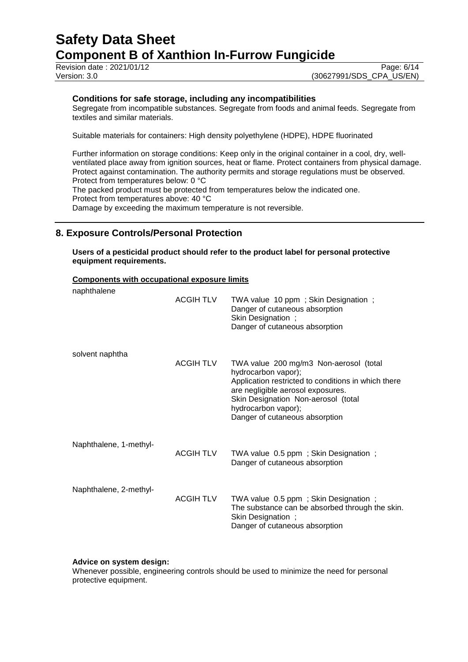Revision date : 2021/01/12 Page: 6/14<br>Version: 3.0 (30627991/SDS CPA US/EN)

(30627991/SDS\_CPA\_US/EN)

## **Conditions for safe storage, including any incompatibilities**

Segregate from incompatible substances. Segregate from foods and animal feeds. Segregate from textiles and similar materials.

Suitable materials for containers: High density polyethylene (HDPE), HDPE fluorinated

Further information on storage conditions: Keep only in the original container in a cool, dry, wellventilated place away from ignition sources, heat or flame. Protect containers from physical damage. Protect against contamination. The authority permits and storage regulations must be observed. Protect from temperatures below: 0 °C

The packed product must be protected from temperatures below the indicated one. Protect from temperatures above: 40 °C

Damage by exceeding the maximum temperature is not reversible.

## **8. Exposure Controls/Personal Protection**

**Users of a pesticidal product should refer to the product label for personal protective equipment requirements.**

## **Components with occupational exposure limits**

| naphthalene            | <b>ACGIH TLV</b> | TWA value 10 ppm; Skin Designation;<br>Danger of cutaneous absorption<br>Skin Designation;<br>Danger of cutaneous absorption                                                                                                                              |
|------------------------|------------------|-----------------------------------------------------------------------------------------------------------------------------------------------------------------------------------------------------------------------------------------------------------|
| solvent naphtha        | <b>ACGIH TLV</b> | TWA value 200 mg/m3 Non-aerosol (total<br>hydrocarbon vapor);<br>Application restricted to conditions in which there<br>are negligible aerosol exposures.<br>Skin Designation Non-aerosol (total<br>hydrocarbon vapor);<br>Danger of cutaneous absorption |
| Naphthalene, 1-methyl- | <b>ACGIH TLV</b> | TWA value 0.5 ppm; Skin Designation;<br>Danger of cutaneous absorption                                                                                                                                                                                    |
| Naphthalene, 2-methyl- | <b>ACGIH TLV</b> | TWA value 0.5 ppm; Skin Designation;<br>The substance can be absorbed through the skin.<br>Skin Designation;<br>Danger of cutaneous absorption                                                                                                            |

### **Advice on system design:**

Whenever possible, engineering controls should be used to minimize the need for personal protective equipment.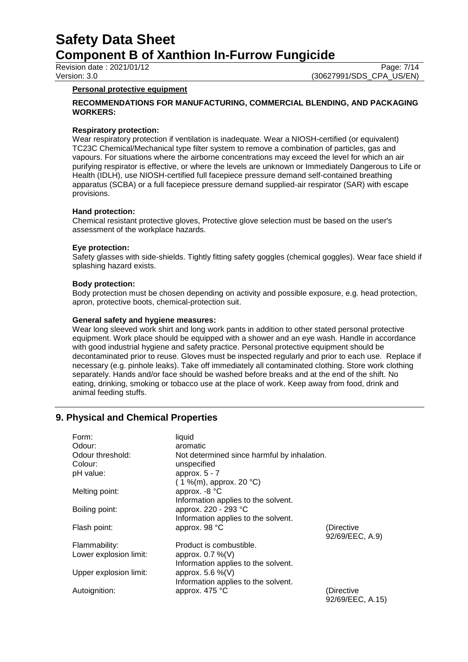Revision date : 2021/01/12 Page: 7/14<br>Version: 3.0 (30627991/SDS CPA US/EN) (30627991/SDS\_CPA\_US/EN)

### **Personal protective equipment**

## **RECOMMENDATIONS FOR MANUFACTURING, COMMERCIAL BLENDING, AND PACKAGING WORKERS:**

### **Respiratory protection:**

Wear respiratory protection if ventilation is inadequate. Wear a NIOSH-certified (or equivalent) TC23C Chemical/Mechanical type filter system to remove a combination of particles, gas and vapours. For situations where the airborne concentrations may exceed the level for which an air purifying respirator is effective, or where the levels are unknown or Immediately Dangerous to Life or Health (IDLH), use NIOSH-certified full facepiece pressure demand self-contained breathing apparatus (SCBA) or a full facepiece pressure demand supplied-air respirator (SAR) with escape provisions.

### **Hand protection:**

Chemical resistant protective gloves, Protective glove selection must be based on the user's assessment of the workplace hazards.

#### **Eye protection:**

Safety glasses with side-shields. Tightly fitting safety goggles (chemical goggles). Wear face shield if splashing hazard exists.

#### **Body protection:**

Body protection must be chosen depending on activity and possible exposure, e.g. head protection, apron, protective boots, chemical-protection suit.

#### **General safety and hygiene measures:**

Wear long sleeved work shirt and long work pants in addition to other stated personal protective equipment. Work place should be equipped with a shower and an eye wash. Handle in accordance with good industrial hygiene and safety practice. Personal protective equipment should be decontaminated prior to reuse. Gloves must be inspected regularly and prior to each use. Replace if necessary (e.g. pinhole leaks). Take off immediately all contaminated clothing. Store work clothing separately. Hands and/or face should be washed before breaks and at the end of the shift. No eating, drinking, smoking or tobacco use at the place of work. Keep away from food, drink and animal feeding stuffs.

## **9. Physical and Chemical Properties**

| Form:                  | liquid                                      |                  |
|------------------------|---------------------------------------------|------------------|
| Odour:                 | aromatic                                    |                  |
| Odour threshold:       | Not determined since harmful by inhalation. |                  |
| Colour:                | unspecified                                 |                  |
| pH value:              | approx. $5 - 7$                             |                  |
|                        | $(1\%$ (m), approx. 20 °C)                  |                  |
| Melting point:         | approx. -8 °C                               |                  |
|                        | Information applies to the solvent.         |                  |
| Boiling point:         | approx. 220 - 293 °C                        |                  |
|                        | Information applies to the solvent.         |                  |
| Flash point:           | approx. 98 °C                               | (Directive       |
|                        |                                             | 92/69/EEC, A.9)  |
| Flammability:          | Product is combustible.                     |                  |
| Lower explosion limit: | approx. $0.7\%$ (V)                         |                  |
|                        | Information applies to the solvent.         |                  |
| Upper explosion limit: | approx. $5.6\%$ (V)                         |                  |
|                        | Information applies to the solvent.         |                  |
| Autoignition:          | approx. 475 °C                              | (Directive       |
|                        |                                             | 92/69/EEC, A.15) |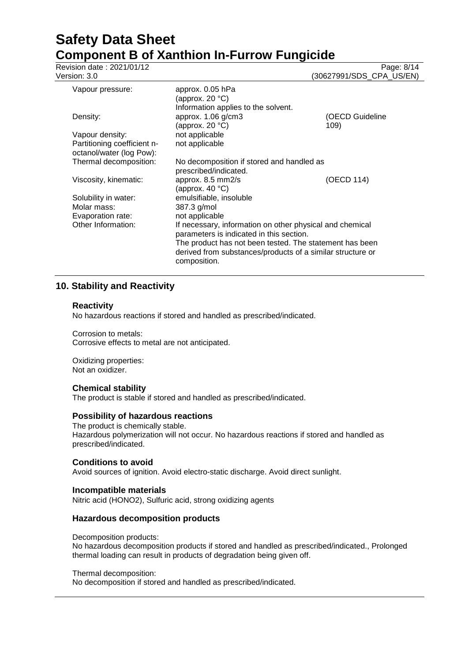| Revision date: 2021/01/12<br>Version: 3.0                                  |                                                                                                                                                                                                                                               | Page: 8/14<br>(30627991/SDS_CPA_US/EN) |
|----------------------------------------------------------------------------|-----------------------------------------------------------------------------------------------------------------------------------------------------------------------------------------------------------------------------------------------|----------------------------------------|
| Vapour pressure:                                                           | approx. 0.05 hPa<br>(approx. 20 °C)                                                                                                                                                                                                           |                                        |
| Density:                                                                   | Information applies to the solvent.<br>approx. 1.06 g/cm3<br>(approx. 20 $°C$ )                                                                                                                                                               | (OECD Guideline<br>109)                |
| Vapour density:<br>Partitioning coefficient n-<br>octanol/water (log Pow): | not applicable<br>not applicable                                                                                                                                                                                                              |                                        |
| Thermal decomposition:                                                     | No decomposition if stored and handled as<br>prescribed/indicated.                                                                                                                                                                            |                                        |
| Viscosity, kinematic:                                                      | approx. 8.5 mm2/s<br>(approx. 40 $^{\circ}$ C)                                                                                                                                                                                                | (OECD 114)                             |
| Solubility in water:<br>Molar mass:<br>Evaporation rate:                   | emulsifiable, insoluble<br>387.3 g/mol<br>not applicable                                                                                                                                                                                      |                                        |
| Other Information:                                                         | If necessary, information on other physical and chemical<br>parameters is indicated in this section.<br>The product has not been tested. The statement has been<br>derived from substances/products of a similar structure or<br>composition. |                                        |

## **10. Stability and Reactivity**

### **Reactivity**

No hazardous reactions if stored and handled as prescribed/indicated.

Corrosion to metals: Corrosive effects to metal are not anticipated.

Oxidizing properties: Not an oxidizer.

## **Chemical stability**

The product is stable if stored and handled as prescribed/indicated.

### **Possibility of hazardous reactions**

The product is chemically stable. Hazardous polymerization will not occur. No hazardous reactions if stored and handled as prescribed/indicated.

## **Conditions to avoid**

Avoid sources of ignition. Avoid electro-static discharge. Avoid direct sunlight.

## **Incompatible materials**

Nitric acid (HONO2), Sulfuric acid, strong oxidizing agents

### **Hazardous decomposition products**

## Decomposition products:

No hazardous decomposition products if stored and handled as prescribed/indicated., Prolonged thermal loading can result in products of degradation being given off.

### Thermal decomposition:

No decomposition if stored and handled as prescribed/indicated.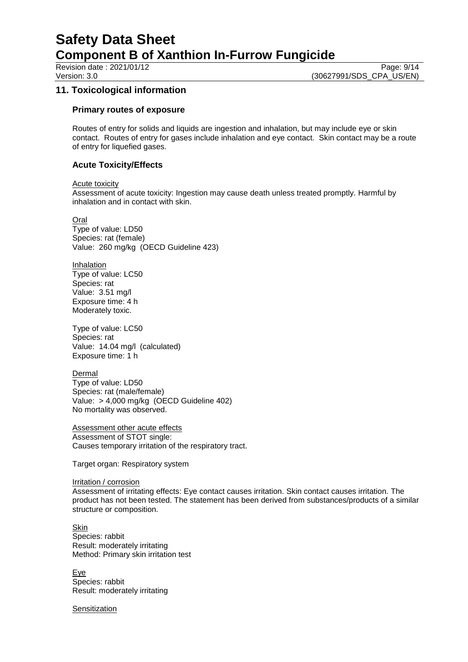Revision date : 2021/01/12 Page: 9/14<br>Version: 3.0 (30627991/SDS CPA US/EN) (30627991/SDS\_CPA\_US/EN)

## **11. Toxicological information**

## **Primary routes of exposure**

Routes of entry for solids and liquids are ingestion and inhalation, but may include eye or skin contact. Routes of entry for gases include inhalation and eye contact. Skin contact may be a route of entry for liquefied gases.

## **Acute Toxicity/Effects**

Acute toxicity

Assessment of acute toxicity: Ingestion may cause death unless treated promptly. Harmful by inhalation and in contact with skin.

Oral

Type of value: LD50 Species: rat (female) Value: 260 mg/kg (OECD Guideline 423)

Inhalation Type of value: LC50 Species: rat Value: 3.51 mg/l Exposure time: 4 h Moderately toxic.

Type of value: LC50 Species: rat Value: 14.04 mg/l (calculated) Exposure time: 1 h

Dermal Type of value: LD50 Species: rat (male/female) Value: > 4,000 mg/kg (OECD Guideline 402) No mortality was observed.

Assessment other acute effects Assessment of STOT single: Causes temporary irritation of the respiratory tract.

Target organ: Respiratory system

Irritation / corrosion Assessment of irritating effects: Eye contact causes irritation. Skin contact causes irritation. The product has not been tested. The statement has been derived from substances/products of a similar structure or composition.

Skin Species: rabbit Result: moderately irritating Method: Primary skin irritation test

Eye Species: rabbit Result: moderately irritating

**Sensitization**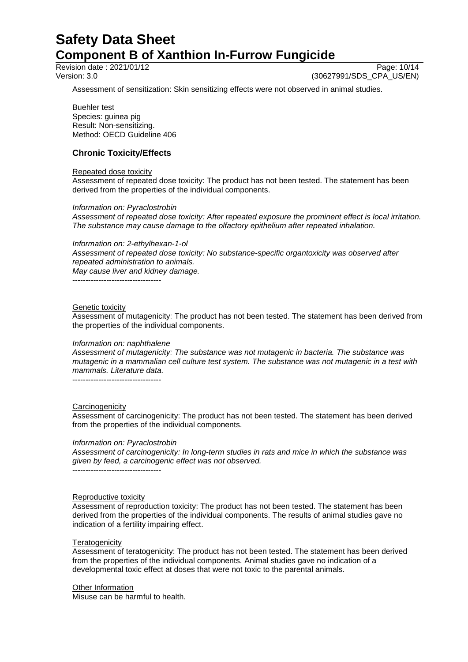Revision date : 2021/01/12 Page: 10/14<br>Version: 3.0 (30627991/SDS CPA US/EN)

(30627991/SDS CPA US/EN)

Assessment of sensitization: Skin sensitizing effects were not observed in animal studies.

Buehler test

Species: guinea pig Result: Non-sensitizing. Method: OECD Guideline 406

## **Chronic Toxicity/Effects**

#### Repeated dose toxicity

Assessment of repeated dose toxicity: The product has not been tested. The statement has been derived from the properties of the individual components.

### *Information on: Pyraclostrobin*

*Assessment of repeated dose toxicity: After repeated exposure the prominent effect is local irritation. The substance may cause damage to the olfactory epithelium after repeated inhalation.*

#### *Information on: 2-ethylhexan-1-ol*

*Assessment of repeated dose toxicity: No substance-specific organtoxicity was observed after repeated administration to animals. May cause liver and kidney damage.*

----------------------------------

#### Genetic toxicity

Assessment of mutagenicity: The product has not been tested. The statement has been derived from the properties of the individual components.

### *Information on: naphthalene*

*Assessment of mutagenicity: The substance was not mutagenic in bacteria. The substance was mutagenic in a mammalian cell culture test system. The substance was not mutagenic in a test with mammals. Literature data.*

----------------------------------

### **Carcinogenicity**

Assessment of carcinogenicity: The product has not been tested. The statement has been derived from the properties of the individual components.

### *Information on: Pyraclostrobin*

*Assessment of carcinogenicity: In long-term studies in rats and mice in which the substance was given by feed, a carcinogenic effect was not observed.* ----------------------------------

### Reproductive toxicity

Assessment of reproduction toxicity: The product has not been tested. The statement has been derived from the properties of the individual components. The results of animal studies gave no indication of a fertility impairing effect.

### **Teratogenicity**

Assessment of teratogenicity: The product has not been tested. The statement has been derived from the properties of the individual components. Animal studies gave no indication of a developmental toxic effect at doses that were not toxic to the parental animals.

#### Other Information

Misuse can be harmful to health.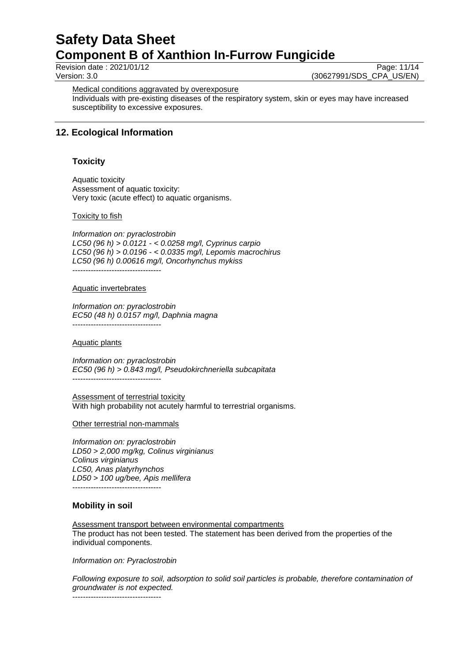Revision date : 2021/01/12 Page: 11/14<br>Version: 3.0 (30627991/SDS CPA US/EN) (30627991/SDS\_CPA\_US/EN)

Medical conditions aggravated by overexposure

Individuals with pre-existing diseases of the respiratory system, skin or eyes may have increased susceptibility to excessive exposures.

## **12. Ecological Information**

## **Toxicity**

Aquatic toxicity Assessment of aquatic toxicity: Very toxic (acute effect) to aquatic organisms.

### Toxicity to fish

*Information on: pyraclostrobin LC50 (96 h) > 0.0121 - < 0.0258 mg/l, Cyprinus carpio LC50 (96 h) > 0.0196 - < 0.0335 mg/l, Lepomis macrochirus LC50 (96 h) 0.00616 mg/l, Oncorhynchus mykiss*

----------------------------------

#### Aquatic invertebrates

*Information on: pyraclostrobin EC50 (48 h) 0.0157 mg/l, Daphnia magna* ----------------------------------

### Aquatic plants

*Information on: pyraclostrobin EC50 (96 h) > 0.843 mg/l, Pseudokirchneriella subcapitata* ----------------------------------

Assessment of terrestrial toxicity With high probability not acutely harmful to terrestrial organisms.

Other terrestrial non-mammals

*Information on: pyraclostrobin LD50 > 2,000 mg/kg, Colinus virginianus Colinus virginianus LC50, Anas platyrhynchos LD50 > 100 ug/bee, Apis mellifera* ----------------------------------

## **Mobility in soil**

Assessment transport between environmental compartments The product has not been tested. The statement has been derived from the properties of the individual components.

*Information on: Pyraclostrobin*

*Following exposure to soil, adsorption to solid soil particles is probable, therefore contamination of groundwater is not expected.*

----------------------------------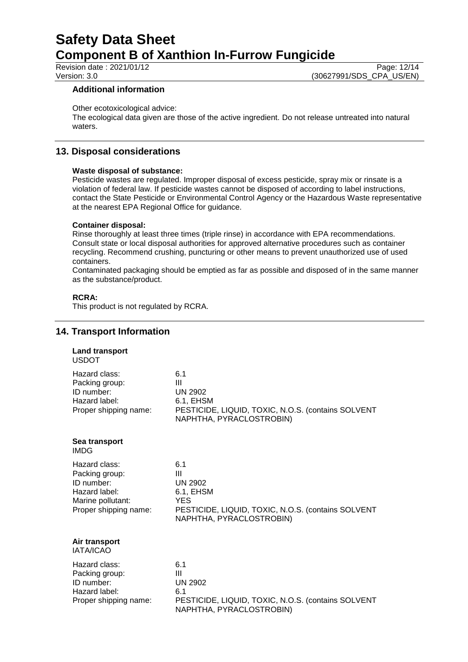Revision date : 2021/01/12 Page: 12/14<br>Version: 3.0 (30627991/SDS CPA US/EN) (30627991/SDS\_CPA\_US/EN)

## **Additional information**

Other ecotoxicological advice:

The ecological data given are those of the active ingredient. Do not release untreated into natural waters.

## **13. Disposal considerations**

### **Waste disposal of substance:**

Pesticide wastes are regulated. Improper disposal of excess pesticide, spray mix or rinsate is a violation of federal law. If pesticide wastes cannot be disposed of according to label instructions, contact the State Pesticide or Environmental Control Agency or the Hazardous Waste representative at the nearest EPA Regional Office for guidance.

## **Container disposal:**

Rinse thoroughly at least three times (triple rinse) in accordance with EPA recommendations. Consult state or local disposal authorities for approved alternative procedures such as container recycling. Recommend crushing, puncturing or other means to prevent unauthorized use of used containers.

Contaminated packaging should be emptied as far as possible and disposed of in the same manner as the substance/product.

## **RCRA:**

This product is not regulated by RCRA.

## **14. Transport Information**

| <b>Land transport</b><br><b>USDOT</b>                                                                        |                                                                                                                                         |
|--------------------------------------------------------------------------------------------------------------|-----------------------------------------------------------------------------------------------------------------------------------------|
| Hazard class:<br>Packing group:<br>ID number:<br>Hazard label:<br>Proper shipping name:                      | 6.1<br>Ш<br><b>UN 2902</b><br>6.1, EHSM<br>PESTICIDE, LIQUID, TOXIC, N.O.S. (contains SOLVENT<br>NAPHTHA, PYRACLOSTROBIN)               |
| Sea transport<br><b>IMDG</b>                                                                                 |                                                                                                                                         |
| Hazard class:<br>Packing group:<br>ID number:<br>Hazard label:<br>Marine pollutant:<br>Proper shipping name: | 6.1<br>Ш<br><b>UN 2902</b><br>6.1, EHSM<br><b>YES</b><br>PESTICIDE, LIQUID, TOXIC, N.O.S. (contains SOLVENT<br>NAPHTHA, PYRACLOSTROBIN) |
| Air transport<br>IATA/ICAO                                                                                   |                                                                                                                                         |
| Hazard class:<br>Packing group:<br>ID number:<br>Hazard label:<br>Proper shipping name:                      | 6.1<br>Ш<br><b>UN 2902</b><br>6.1<br>PESTICIDE, LIQUID, TOXIC, N.O.S. (contains SOLVENT<br>NAPHTHA, PYRACLOSTROBIN)                     |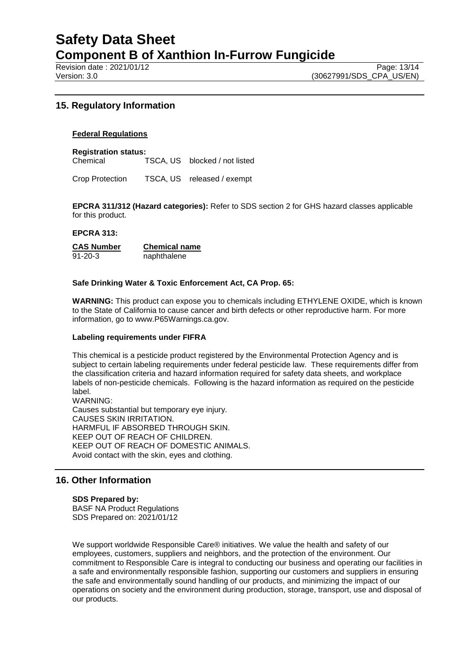Revision date : 2021/01/12 Page: 13/14<br>Version: 3.0 (30627991/SDS CPA US/EN)

## **15. Regulatory Information**

## **Federal Regulations**

**Registration status:** Chemical TSCA, US blocked / not listed

Crop Protection TSCA, US released / exempt

**EPCRA 311/312 (Hazard categories):** Refer to SDS section 2 for GHS hazard classes applicable for this product.

### **EPCRA 313:**

**CAS Number Chemical name** 91-20-3 naphthalene

## **Safe Drinking Water & Toxic Enforcement Act, CA Prop. 65:**

**WARNING:** This product can expose you to chemicals including ETHYLENE OXIDE, which is known to the State of California to cause cancer and birth defects or other reproductive harm. For more information, go to www.P65Warnings.ca.gov.

### **Labeling requirements under FIFRA**

This chemical is a pesticide product registered by the Environmental Protection Agency and is subject to certain labeling requirements under federal pesticide law. These requirements differ from the classification criteria and hazard information required for safety data sheets, and workplace labels of non-pesticide chemicals. Following is the hazard information as required on the pesticide label.

WARNING: Causes substantial but temporary eye injury. CAUSES SKIN IRRITATION. HARMFUL IF ABSORBED THROUGH SKIN. KEEP OUT OF REACH OF CHILDREN. KEEP OUT OF REACH OF DOMESTIC ANIMALS. Avoid contact with the skin, eyes and clothing.

## **16. Other Information**

**SDS Prepared by:**  BASF NA Product Regulations SDS Prepared on: 2021/01/12

We support worldwide Responsible Care® initiatives. We value the health and safety of our employees, customers, suppliers and neighbors, and the protection of the environment. Our commitment to Responsible Care is integral to conducting our business and operating our facilities in a safe and environmentally responsible fashion, supporting our customers and suppliers in ensuring the safe and environmentally sound handling of our products, and minimizing the impact of our operations on society and the environment during production, storage, transport, use and disposal of our products.